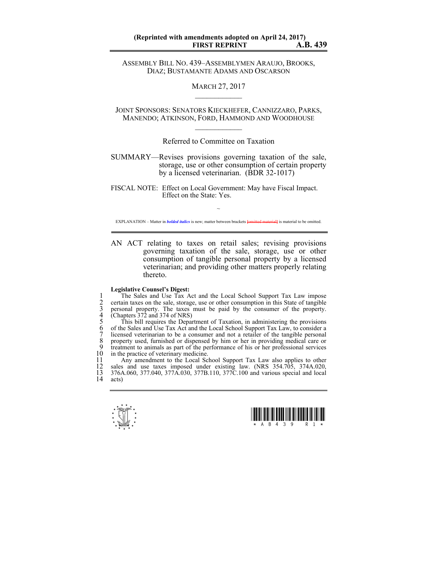ASSEMBLY BILL NO. 439–ASSEMBLYMEN ARAUJO, BROOKS, DIAZ; BUSTAMANTE ADAMS AND OSCARSON

> MARCH 27, 2017  $\mathcal{L}_\text{max}$

JOINT SPONSORS: SENATORS KIECKHEFER, CANNIZZARO, PARKS, MANENDO; ATKINSON, FORD, HAMMOND AND WOODHOUSE  $\mathcal{L}_\text{max}$ 

Referred to Committee on Taxation

SUMMARY—Revises provisions governing taxation of the sale, storage, use or other consumption of certain property by a licensed veterinarian. (BDR 32-1017)

FISCAL NOTE: Effect on Local Government: May have Fiscal Impact. Effect on the State: Yes.

~ EXPLANATION – Matter in *bolded italics* is new; matter between brackets **[**omitted material**]** is material to be omitted.

AN ACT relating to taxes on retail sales; revising provisions governing taxation of the sale, storage, use or other consumption of tangible personal property by a licensed veterinarian; and providing other matters properly relating thereto.

## **Legislative Counsel's Digest:**

The Sales and Use Tax Act and the Local School Support Tax Law impose<br>
2 certain taxes on the sale, storage, use or other consumption in this State of tangible<br>
2 personal property. The taxes must be paid by the consumer o 2 certain taxes on the sale, storage, use or other consumption in this State of tangible 3 personal property. The taxes must be paid by the consumer of the property.  $(Chapters 372 and 374 of NRS)$ 

This bill requires the Department of Taxation, in administering the provisions of the Sales and Use Tax Act and the Local School Support Tax Law, to consider a 1 licensed veterinarian to be a consumer and not a retailer of the tangible personal 8 property used, furnished or dispensed by him or her in providing medical care or treatment to animals as part of the performance of his or her professional services 9 treatment to animals as part of the performance of his or her professional services  $10$  in the practice of veterinary medicine. 10 in the practice of veterinary medicine.<br>11 Any amendment to the Local Sc

11 Any amendment to the Local School Support Tax Law also applies to other 12 sales and use taxes imposed under existing law. (NRS 354.705, 374A.020, 12 sales and use taxes imposed under existing law. (NRS 354.705, 374A.020, 13 376A.060, 377.040, 377A.030, 377B.110, 377C.100 and various special and local 14 acts)